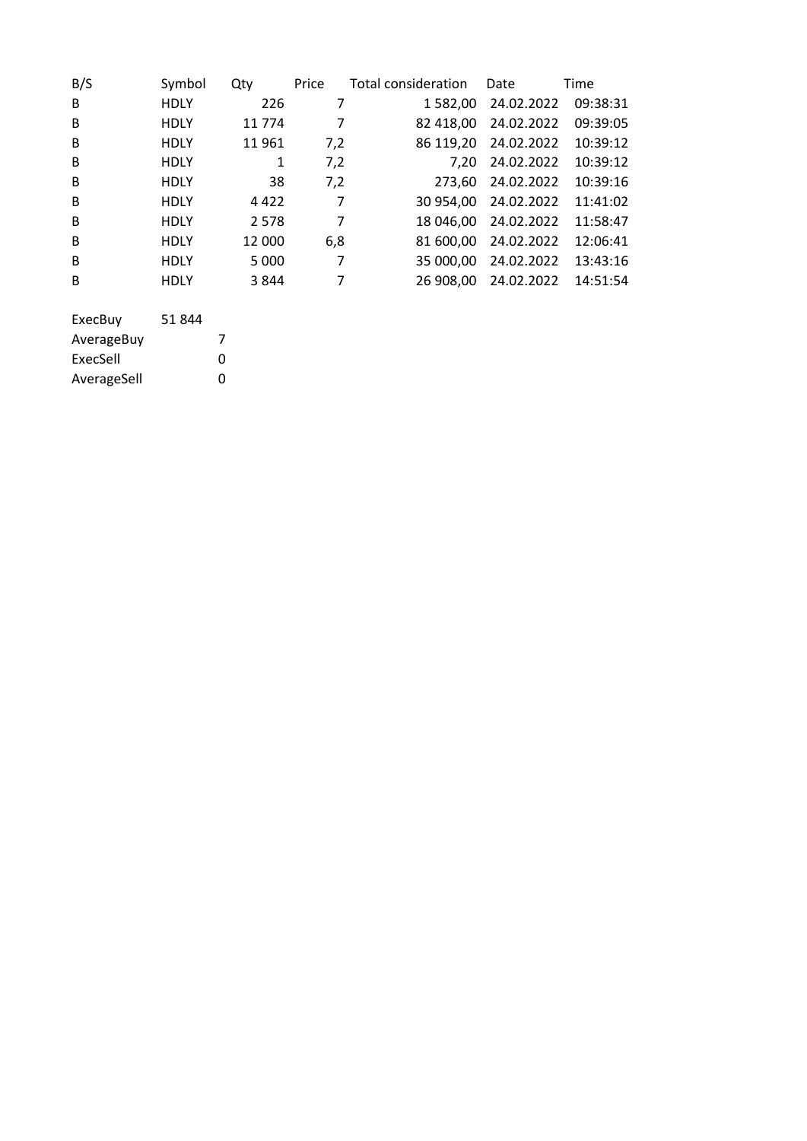| B/S        | Symbol      | Qty     | Price | Total consideration | Date       | Time     |
|------------|-------------|---------|-------|---------------------|------------|----------|
| B          | <b>HDLY</b> | 226     | 7     | 1 5 8 2 , 0 0       | 24.02.2022 | 09:38:31 |
| B          | <b>HDLY</b> | 11 774  | 7     | 82 418,00           | 24.02.2022 | 09:39:05 |
| B          | <b>HDLY</b> | 11 961  | 7,2   | 86 119,20           | 24.02.2022 | 10:39:12 |
| B          | <b>HDLY</b> | 1       | 7,2   | 7.20                | 24.02.2022 | 10:39:12 |
| B          | <b>HDLY</b> | 38      | 7,2   | 273,60              | 24.02.2022 | 10:39:16 |
| B          | <b>HDLY</b> | 4 4 2 2 | 7     | 30 954,00           | 24.02.2022 | 11:41:02 |
| B          | <b>HDLY</b> | 2578    | 7     | 18 046,00           | 24.02.2022 | 11:58:47 |
| B          | <b>HDLY</b> | 12 000  | 6,8   | 81 600,00           | 24.02.2022 | 12:06:41 |
| B          | <b>HDLY</b> | 5 0 0 0 | 7     | 35 000,00           | 24.02.2022 | 13:43:16 |
| B          | <b>HDLY</b> | 3844    | 7     | 26 908,00           | 24.02.2022 | 14:51:54 |
| ExecBuy    | 51 844      |         |       |                     |            |          |
| AverageBuy |             | 7       |       |                     |            |          |
| ExecSell   |             | 0       |       |                     |            |          |

AverageSell 0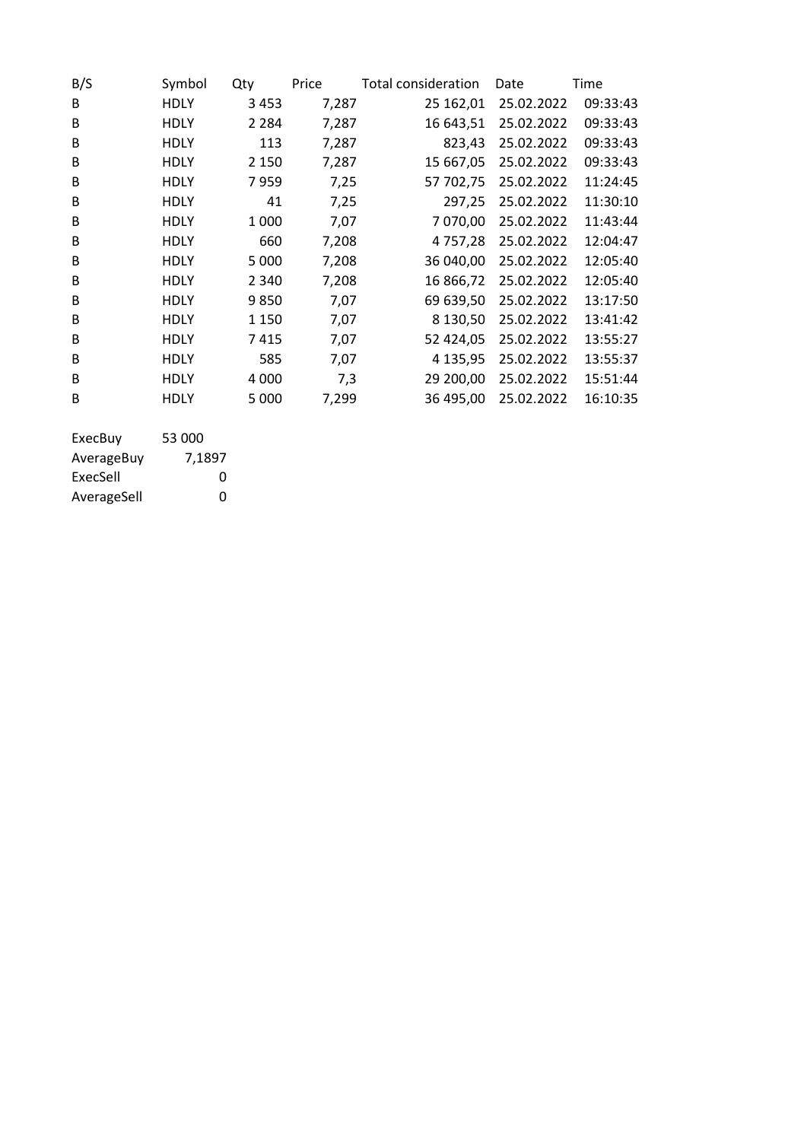| B/S | Symbol      | Qty     | Price | Total consideration | Date       | Time     |
|-----|-------------|---------|-------|---------------------|------------|----------|
| B   | <b>HDLY</b> | 3453    | 7,287 | 25 162,01           | 25.02.2022 | 09:33:43 |
| B   | <b>HDLY</b> | 2 2 8 4 | 7,287 | 16 643,51           | 25.02.2022 | 09:33:43 |
| B   | <b>HDLY</b> | 113     | 7,287 | 823,43              | 25.02.2022 | 09:33:43 |
| B   | <b>HDLY</b> | 2 1 5 0 | 7,287 | 15 667,05           | 25.02.2022 | 09:33:43 |
| B   | <b>HDLY</b> | 7959    | 7,25  | 57 702,75           | 25.02.2022 | 11:24:45 |
| B   | <b>HDLY</b> | 41      | 7,25  | 297,25              | 25.02.2022 | 11:30:10 |
| B   | <b>HDLY</b> | 1 000   | 7,07  | 7 070,00            | 25.02.2022 | 11:43:44 |
| B   | <b>HDLY</b> | 660     | 7,208 | 4757,28             | 25.02.2022 | 12:04:47 |
| B   | <b>HDLY</b> | 5 000   | 7,208 | 36 040,00           | 25.02.2022 | 12:05:40 |
| B   | <b>HDLY</b> | 2 3 4 0 | 7,208 | 16 866,72           | 25.02.2022 | 12:05:40 |
| B   | <b>HDLY</b> | 9850    | 7,07  | 69 639,50           | 25.02.2022 | 13:17:50 |
| B   | <b>HDLY</b> | 1 1 5 0 | 7,07  | 8 130,50            | 25.02.2022 | 13:41:42 |
| B   | <b>HDLY</b> | 7415    | 7,07  | 52 424,05           | 25.02.2022 | 13:55:27 |
| B   | <b>HDLY</b> | 585     | 7,07  | 4 135,95            | 25.02.2022 | 13:55:37 |
| B   | <b>HDLY</b> | 4 0 0 0 | 7,3   | 29 200,00           | 25.02.2022 | 15:51:44 |
| B   | <b>HDLY</b> | 5 000   | 7,299 | 36 495,00           | 25.02.2022 | 16:10:35 |
|     |             |         |       |                     |            |          |

| ExecBuy     | 53 000 |
|-------------|--------|
| AverageBuy  | 7.1897 |
| ExecSell    | n      |
| AverageSell | O      |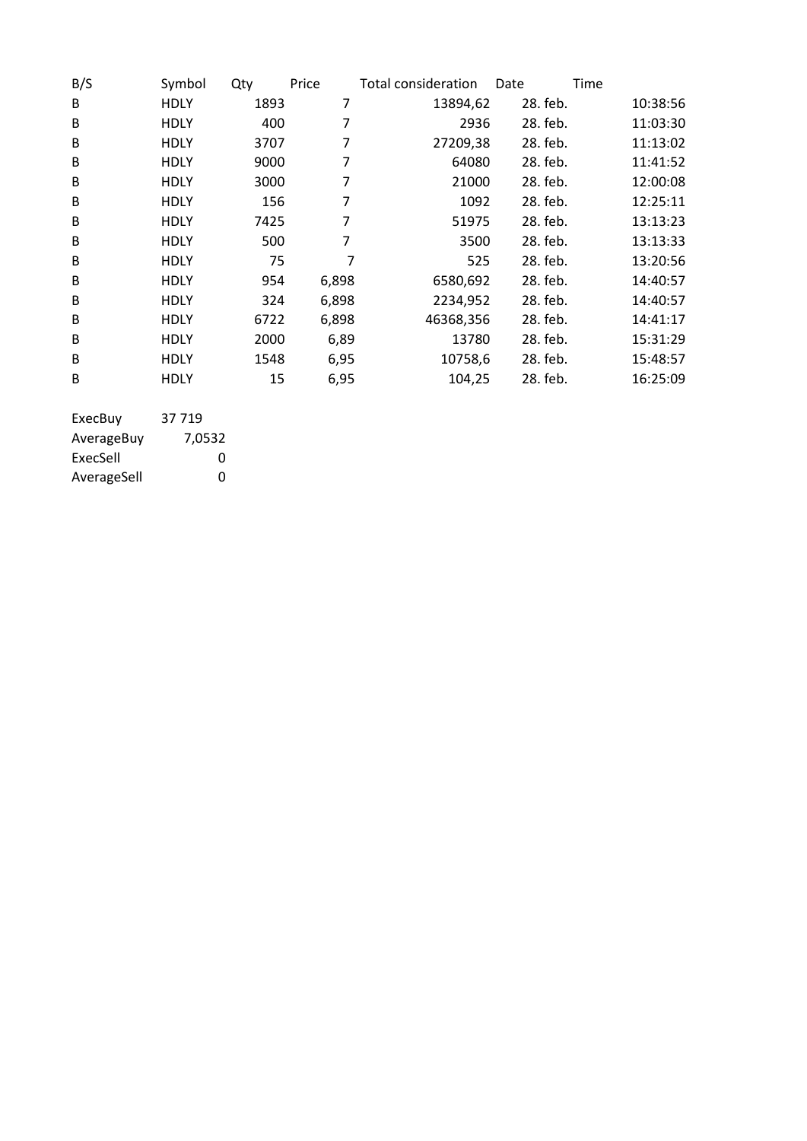| B/S     | Symbol      | Qty  | Price          | <b>Total consideration</b> | Date     | Time     |
|---------|-------------|------|----------------|----------------------------|----------|----------|
| B       | <b>HDLY</b> | 1893 | 7              | 13894,62                   | 28. feb. | 10:38:56 |
| B       | <b>HDLY</b> | 400  | 7              | 2936                       | 28. feb. | 11:03:30 |
| B       | <b>HDLY</b> | 3707 | 7              | 27209,38                   | 28. feb. | 11:13:02 |
| B       | <b>HDLY</b> | 9000 | 7              | 64080                      | 28. feb. | 11:41:52 |
| B       | <b>HDLY</b> | 3000 | 7              | 21000                      | 28. feb. | 12:00:08 |
| B       | <b>HDLY</b> | 156  | 7              | 1092                       | 28. feb. | 12:25:11 |
| B       | <b>HDLY</b> | 7425 | 7              | 51975                      | 28. feb. | 13:13:23 |
| B       | <b>HDLY</b> | 500  | $\overline{7}$ | 3500                       | 28. feb. | 13:13:33 |
| B       | <b>HDLY</b> | 75   | 7              | 525                        | 28. feb. | 13:20:56 |
| B       | <b>HDLY</b> | 954  | 6,898          | 6580,692                   | 28. feb. | 14:40:57 |
| B       | <b>HDLY</b> | 324  | 6,898          | 2234,952                   | 28. feb. | 14:40:57 |
| B       | <b>HDLY</b> | 6722 | 6,898          | 46368,356                  | 28. feb. | 14:41:17 |
| B       | <b>HDLY</b> | 2000 | 6,89           | 13780                      | 28. feb. | 15:31:29 |
| B       | <b>HDLY</b> | 1548 | 6,95           | 10758,6                    | 28. feb. | 15:48:57 |
| B       | <b>HDLY</b> | 15   | 6,95           | 104,25                     | 28. feb. | 16:25:09 |
| ExecBuy | 37 719      |      |                |                            |          |          |

| AverageBuy  | 7,0532 |
|-------------|--------|
| ExecSell    | O      |
| AverageSell | O      |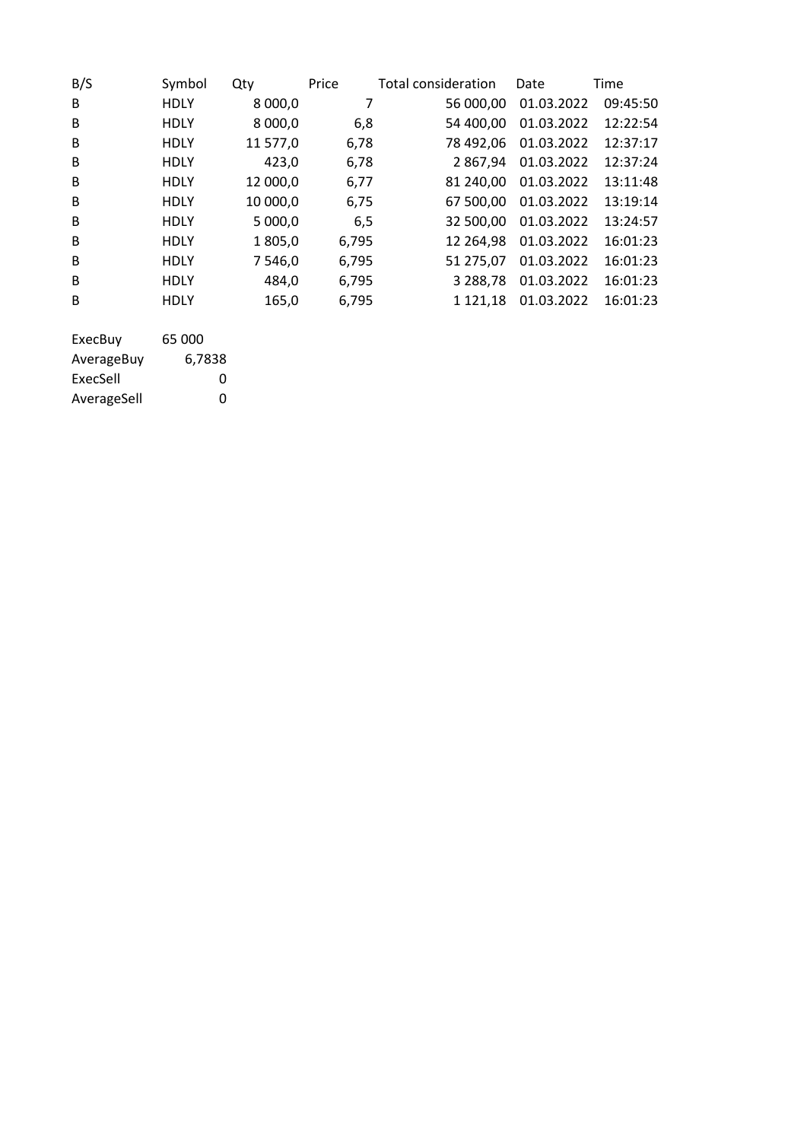| B/S             | Symbol      | Qty      | Price | <b>Total consideration</b> | Date       | Time     |
|-----------------|-------------|----------|-------|----------------------------|------------|----------|
| B               | <b>HDLY</b> | 8 000,0  | 7     | 56 000,00                  | 01.03.2022 | 09:45:50 |
| B               | <b>HDLY</b> | 8 000,0  | 6,8   | 54 400,00                  | 01.03.2022 | 12:22:54 |
| B               | <b>HDLY</b> | 11 577,0 | 6,78  | 78 492,06                  | 01.03.2022 | 12:37:17 |
| B               | <b>HDLY</b> | 423,0    | 6,78  | 2 867,94                   | 01.03.2022 | 12:37:24 |
| B               | <b>HDLY</b> | 12 000,0 | 6,77  | 81 240,00                  | 01.03.2022 | 13:11:48 |
| B               | <b>HDLY</b> | 10 000,0 | 6,75  | 67 500.00                  | 01.03.2022 | 13:19:14 |
| B               | <b>HDLY</b> | 5 000,0  | 6,5   | 32 500,00                  | 01.03.2022 | 13:24:57 |
| B               | <b>HDLY</b> | 1805,0   | 6,795 | 12 264,98                  | 01.03.2022 | 16:01:23 |
| B               | <b>HDLY</b> | 7546,0   | 6,795 | 51 275,07                  | 01.03.2022 | 16:01:23 |
| B               | <b>HDLY</b> | 484,0    | 6,795 | 3 2 8 8 , 7 8              | 01.03.2022 | 16:01:23 |
| B               | <b>HDLY</b> | 165,0    | 6,795 | 1 1 2 1 , 1 8              | 01.03.2022 | 16:01:23 |
|                 |             |          |       |                            |            |          |
| <b>F</b> xecRuv | 65.000      |          |       |                            |            |          |